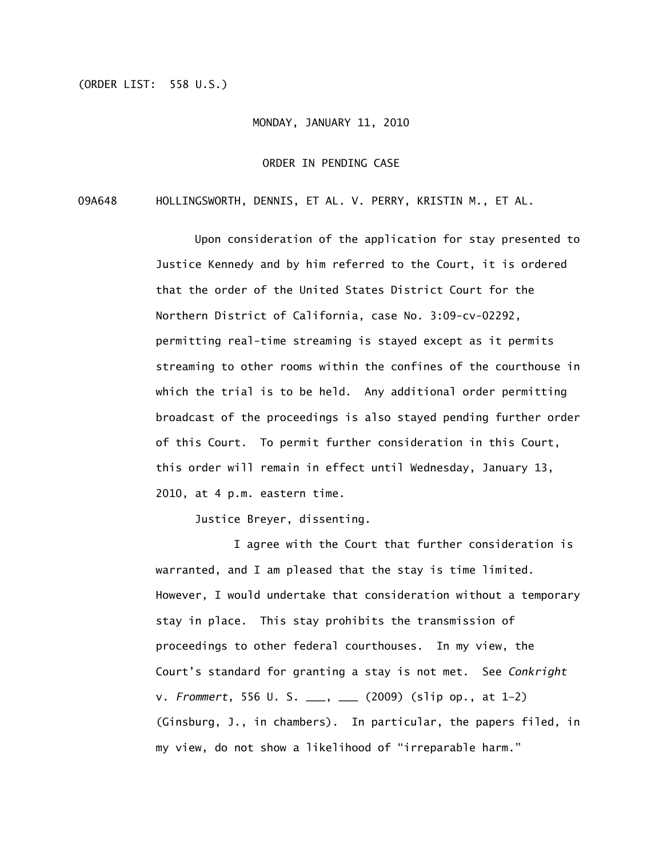## (ORDER LIST: 558 U.S.)

## MONDAY, JANUARY 11, 2010

## ORDER IN PENDING CASE

## 09A648 HOLLINGSWORTH, DENNIS, ET AL. V. PERRY, KRISTIN M., ET AL.

Upon consideration of the application for stay presented to Justice Kennedy and by him referred to the Court, it is ordered that the order of the United States District Court for the Northern District of California, case No. 3:09-cv-02292, permitting real-time streaming is stayed except as it permits streaming to other rooms within the confines of the courthouse in which the trial is to be held. Any additional order permitting broadcast of the proceedings is also stayed pending further order of this Court. To permit further consideration in this Court, this order will remain in effect until Wednesday, January 13, 2010, at 4 p.m. eastern time.

Justice Breyer, dissenting.

 I agree with the Court that further consideration is warranted, and I am pleased that the stay is time limited. However, I would undertake that consideration without a temporary stay in place. This stay prohibits the transmission of proceedings to other federal courthouses. In my view, the Court's standard for granting a stay is not met. See *Conkright* v. *Frommert*, 556 U. S. \_\_\_, \_\_\_ (2009) (slip op., at 1–2) (Ginsburg, J., in chambers). In particular, the papers filed, in my view, do not show a likelihood of "irreparable harm."